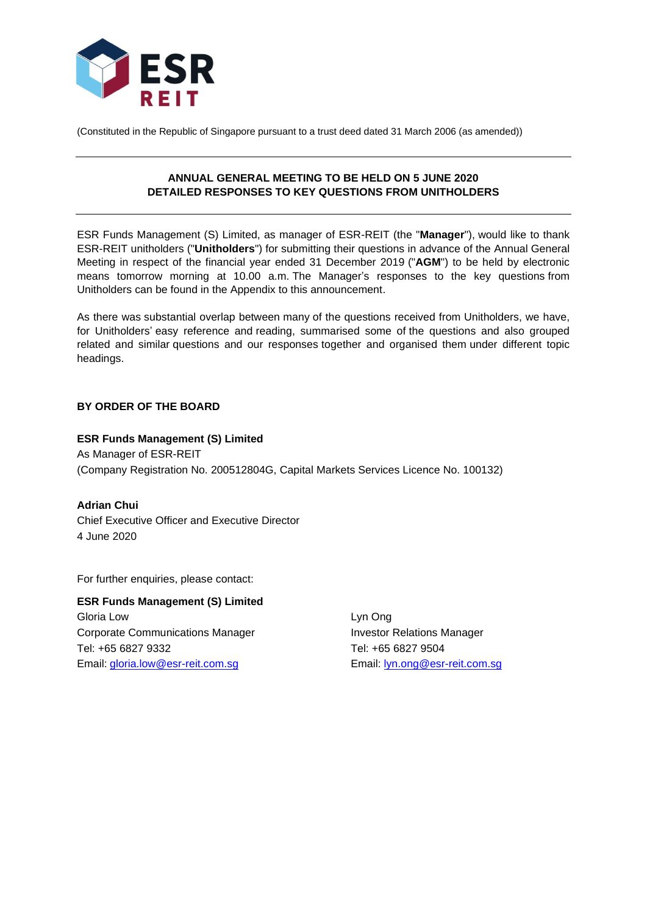

(Constituted in the Republic of Singapore pursuant to a trust deed dated 31 March 2006 (as amended))

## **ANNUAL GENERAL MEETING TO BE HELD ON 5 JUNE 2020 DETAILED RESPONSES TO KEY QUESTIONS FROM UNITHOLDERS**

ESR Funds Management (S) Limited, as manager of ESR-REIT (the "**Manager**"), would like to thank ESR-REIT unitholders ("**Unitholders**") for submitting their questions in advance of the Annual General Meeting in respect of the financial year ended 31 December 2019 ("**AGM**") to be held by electronic means tomorrow morning at 10.00 a.m. The Manager's responses to the key questions from Unitholders can be found in the Appendix to this announcement.

As there was substantial overlap between many of the questions received from Unitholders, we have, for Unitholders' easy reference and reading, summarised some of the questions and also grouped related and similar questions and our responses together and organised them under different topic headings.

## **BY ORDER OF THE BOARD**

# **ESR Funds Management (S) Limited** As Manager of ESR-REIT (Company Registration No. 200512804G, Capital Markets Services Licence No. 100132)

**Adrian Chui** Chief Executive Officer and Executive Director 4 June 2020

For further enquiries, please contact:

**ESR Funds Management (S) Limited** Gloria Low Lyn Ong Corporate Communications Manager **Investor Relations Manager** Tel: +65 6827 9332 Tel: +65 6827 9504 Email: [gloria.low@esr-reit.com.sg](mailto:gloria.low@esr-reit.com.sg) Email: [lyn.ong@esr-reit.com.sg](mailto:lyn.ong@esr-reit.com.sg)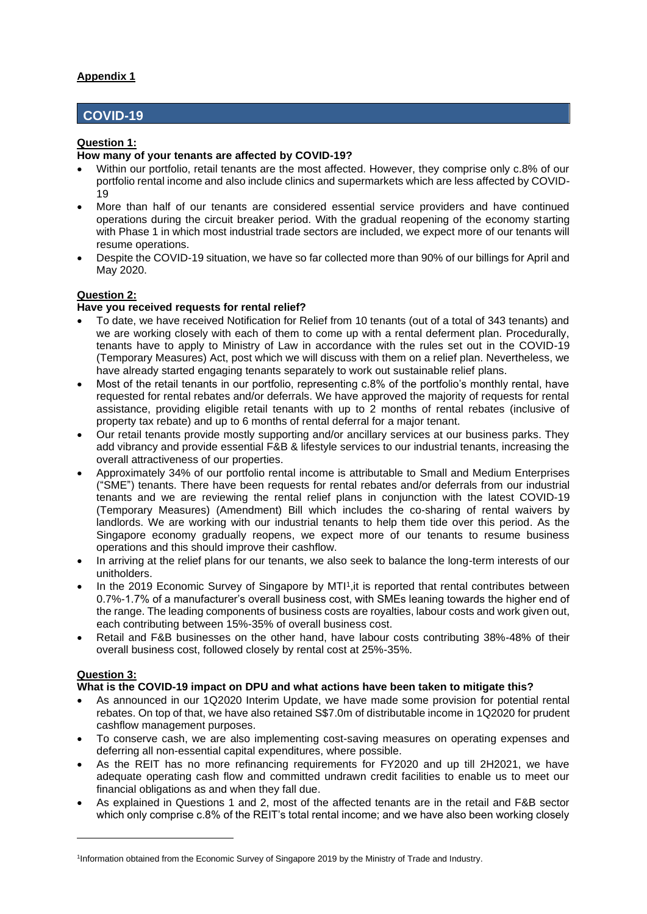# **COVID-19**

## **Question 1:**

### **How many of your tenants are affected by COVID-19?**

- Within our portfolio, retail tenants are the most affected. However, they comprise only c.8% of our portfolio rental income and also include clinics and supermarkets which are less affected by COVID-19
- More than half of our tenants are considered essential service providers and have continued operations during the circuit breaker period. With the gradual reopening of the economy starting with Phase 1 in which most industrial trade sectors are included, we expect more of our tenants will resume operations.
- Despite the COVID-19 situation, we have so far collected more than 90% of our billings for April and May 2020.

# **Question 2:**

### **Have you received requests for rental relief?**

- To date, we have received Notification for Relief from 10 tenants (out of a total of 343 tenants) and we are working closely with each of them to come up with a rental deferment plan. Procedurally, tenants have to apply to Ministry of Law in accordance with the rules set out in the COVID-19 (Temporary Measures) Act, post which we will discuss with them on a relief plan. Nevertheless, we have already started engaging tenants separately to work out sustainable relief plans.
- Most of the retail tenants in our portfolio, representing c.8% of the portfolio's monthly rental, have requested for rental rebates and/or deferrals. We have approved the majority of requests for rental assistance, providing eligible retail tenants with up to 2 months of rental rebates (inclusive of property tax rebate) and up to 6 months of rental deferral for a major tenant.
- Our retail tenants provide mostly supporting and/or ancillary services at our business parks. They add vibrancy and provide essential F&B & lifestyle services to our industrial tenants, increasing the overall attractiveness of our properties.
- Approximately 34% of our portfolio rental income is attributable to Small and Medium Enterprises ("SME") tenants. There have been requests for rental rebates and/or deferrals from our industrial tenants and we are reviewing the rental relief plans in conjunction with the latest COVID-19 (Temporary Measures) (Amendment) Bill which includes the co-sharing of rental waivers by landlords. We are working with our industrial tenants to help them tide over this period. As the Singapore economy gradually reopens, we expect more of our tenants to resume business operations and this should improve their cashflow.
- In arriving at the relief plans for our tenants, we also seek to balance the long-term interests of our unitholders.
- In the 2019 Economic Survey of Singapore by MTI<sup>1</sup>, it is reported that rental contributes between 0.7%-1.7% of a manufacturer's overall business cost, with SMEs leaning towards the higher end of the range. The leading components of business costs are royalties, labour costs and work given out, each contributing between 15%-35% of overall business cost.
- Retail and F&B businesses on the other hand, have labour costs contributing 38%-48% of their overall business cost, followed closely by rental cost at 25%-35%.

### **Question 3:**

## **What is the COVID-19 impact on DPU and what actions have been taken to mitigate this?**

- As announced in our 1Q2020 Interim Update, we have made some provision for potential rental rebates. On top of that, we have also retained S\$7.0m of distributable income in 1Q2020 for prudent cashflow management purposes.
- To conserve cash, we are also implementing cost-saving measures on operating expenses and deferring all non-essential capital expenditures, where possible.
- As the REIT has no more refinancing requirements for FY2020 and up till 2H2021, we have adequate operating cash flow and committed undrawn credit facilities to enable us to meet our financial obligations as and when they fall due.
- As explained in Questions 1 and 2, most of the affected tenants are in the retail and F&B sector which only comprise c.8% of the REIT's total rental income; and we have also been working closely

<sup>1</sup> Information obtained from the Economic Survey of Singapore 2019 by the Ministry of Trade and Industry.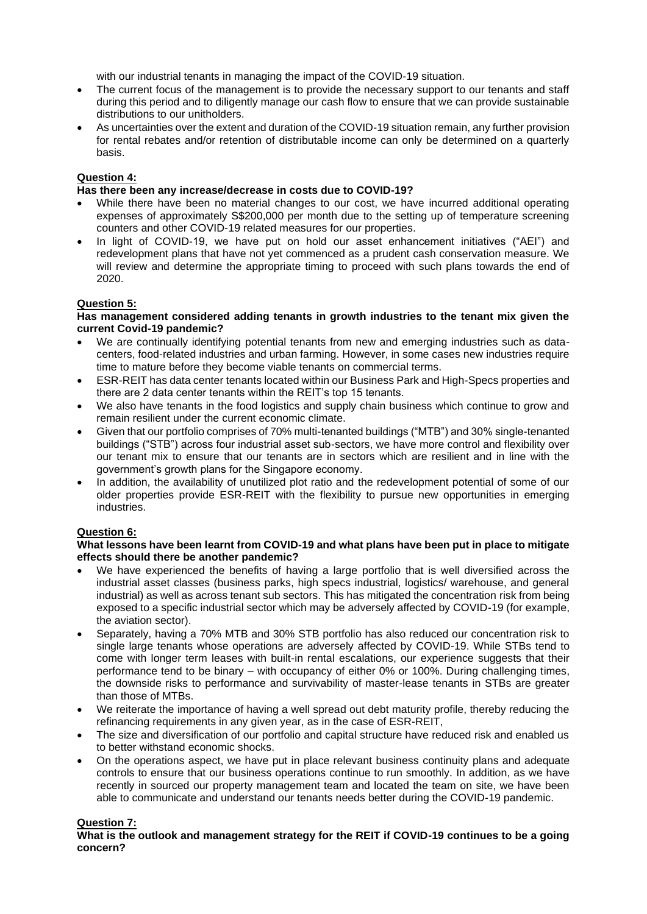with our industrial tenants in managing the impact of the COVID-19 situation.

- The current focus of the management is to provide the necessary support to our tenants and staff during this period and to diligently manage our cash flow to ensure that we can provide sustainable distributions to our unitholders.
- As uncertainties over the extent and duration of the COVID-19 situation remain, any further provision for rental rebates and/or retention of distributable income can only be determined on a quarterly basis.

## **Question 4:**

## **Has there been any increase/decrease in costs due to COVID-19?**

- While there have been no material changes to our cost, we have incurred additional operating expenses of approximately S\$200,000 per month due to the setting up of temperature screening counters and other COVID-19 related measures for our properties.
- In light of COVID-19, we have put on hold our asset enhancement initiatives ("AEI") and redevelopment plans that have not yet commenced as a prudent cash conservation measure. We will review and determine the appropriate timing to proceed with such plans towards the end of 2020.

## **Question 5:**

#### **Has management considered adding tenants in growth industries to the tenant mix given the current Covid-19 pandemic?**

- We are continually identifying potential tenants from new and emerging industries such as datacenters, food-related industries and urban farming. However, in some cases new industries require time to mature before they become viable tenants on commercial terms.
- ESR-REIT has data center tenants located within our Business Park and High-Specs properties and there are 2 data center tenants within the REIT's top 15 tenants.
- We also have tenants in the food logistics and supply chain business which continue to grow and remain resilient under the current economic climate.
- Given that our portfolio comprises of 70% multi-tenanted buildings ("MTB") and 30% single-tenanted buildings ("STB") across four industrial asset sub-sectors, we have more control and flexibility over our tenant mix to ensure that our tenants are in sectors which are resilient and in line with the government's growth plans for the Singapore economy.
- In addition, the availability of unutilized plot ratio and the redevelopment potential of some of our older properties provide ESR-REIT with the flexibility to pursue new opportunities in emerging industries.

### **Question 6:**

#### **What lessons have been learnt from COVID-19 and what plans have been put in place to mitigate effects should there be another pandemic?**

- We have experienced the benefits of having a large portfolio that is well diversified across the industrial asset classes (business parks, high specs industrial, logistics/ warehouse, and general industrial) as well as across tenant sub sectors. This has mitigated the concentration risk from being exposed to a specific industrial sector which may be adversely affected by COVID-19 (for example, the aviation sector).
- Separately, having a 70% MTB and 30% STB portfolio has also reduced our concentration risk to single large tenants whose operations are adversely affected by COVID-19. While STBs tend to come with longer term leases with built-in rental escalations, our experience suggests that their performance tend to be binary – with occupancy of either 0% or 100%. During challenging times, the downside risks to performance and survivability of master-lease tenants in STBs are greater than those of MTBs.
- We reiterate the importance of having a well spread out debt maturity profile, thereby reducing the refinancing requirements in any given year, as in the case of ESR-REIT,
- The size and diversification of our portfolio and capital structure have reduced risk and enabled us to better withstand economic shocks.
- On the operations aspect, we have put in place relevant business continuity plans and adequate controls to ensure that our business operations continue to run smoothly. In addition, as we have recently in sourced our property management team and located the team on site, we have been able to communicate and understand our tenants needs better during the COVID-19 pandemic.

### **Question 7:**

**What is the outlook and management strategy for the REIT if COVID-19 continues to be a going concern?**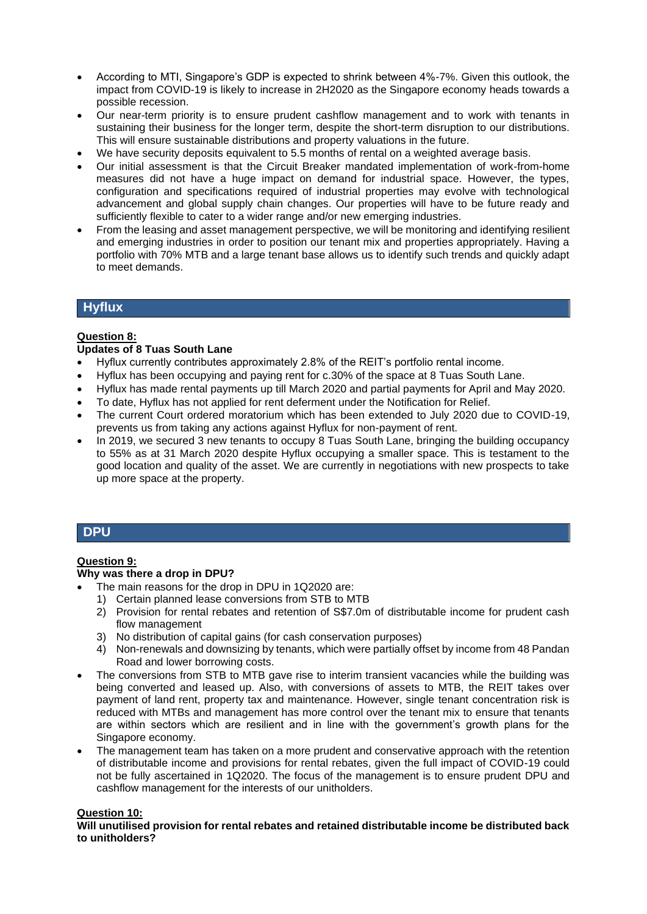- According to MTI, Singapore's GDP is expected to shrink between 4%-7%. Given this outlook, the impact from COVID-19 is likely to increase in 2H2020 as the Singapore economy heads towards a possible recession.
- Our near-term priority is to ensure prudent cashflow management and to work with tenants in sustaining their business for the longer term, despite the short-term disruption to our distributions. This will ensure sustainable distributions and property valuations in the future.
- We have security deposits equivalent to 5.5 months of rental on a weighted average basis.
- Our initial assessment is that the Circuit Breaker mandated implementation of work-from-home measures did not have a huge impact on demand for industrial space. However, the types, configuration and specifications required of industrial properties may evolve with technological advancement and global supply chain changes. Our properties will have to be future ready and sufficiently flexible to cater to a wider range and/or new emerging industries.
- From the leasing and asset management perspective, we will be monitoring and identifying resilient and emerging industries in order to position our tenant mix and properties appropriately. Having a portfolio with 70% MTB and a large tenant base allows us to identify such trends and quickly adapt to meet demands.

# **Hyflux**

### **Question 8:**

### **Updates of 8 Tuas South Lane**

- Hyflux currently contributes approximately 2.8% of the REIT's portfolio rental income.
- Hyflux has been occupying and paying rent for c.30% of the space at 8 Tuas South Lane.
- Hyflux has made rental payments up till March 2020 and partial payments for April and May 2020.
- To date, Hyflux has not applied for rent deferment under the Notification for Relief.
- The current Court ordered moratorium which has been extended to July 2020 due to COVID-19, prevents us from taking any actions against Hyflux for non-payment of rent.
- In 2019, we secured 3 new tenants to occupy 8 Tuas South Lane, bringing the building occupancy to 55% as at 31 March 2020 despite Hyflux occupying a smaller space. This is testament to the good location and quality of the asset. We are currently in negotiations with new prospects to take up more space at the property.

# **DPU**

## **Question 9:**

### **Why was there a drop in DPU?**

- The main reasons for the drop in DPU in 1Q2020 are:
- 1) Certain planned lease conversions from STB to MTB
- 2) Provision for rental rebates and retention of S\$7.0m of distributable income for prudent cash flow management
- 3) No distribution of capital gains (for cash conservation purposes)
- 4) Non-renewals and downsizing by tenants, which were partially offset by income from 48 Pandan Road and lower borrowing costs.
- The conversions from STB to MTB gave rise to interim transient vacancies while the building was being converted and leased up. Also, with conversions of assets to MTB, the REIT takes over payment of land rent, property tax and maintenance. However, single tenant concentration risk is reduced with MTBs and management has more control over the tenant mix to ensure that tenants are within sectors which are resilient and in line with the government's growth plans for the Singapore economy.
- The management team has taken on a more prudent and conservative approach with the retention of distributable income and provisions for rental rebates, given the full impact of COVID-19 could not be fully ascertained in 1Q2020. The focus of the management is to ensure prudent DPU and cashflow management for the interests of our unitholders.

### **Question 10:**

**Will unutilised provision for rental rebates and retained distributable income be distributed back to unitholders?**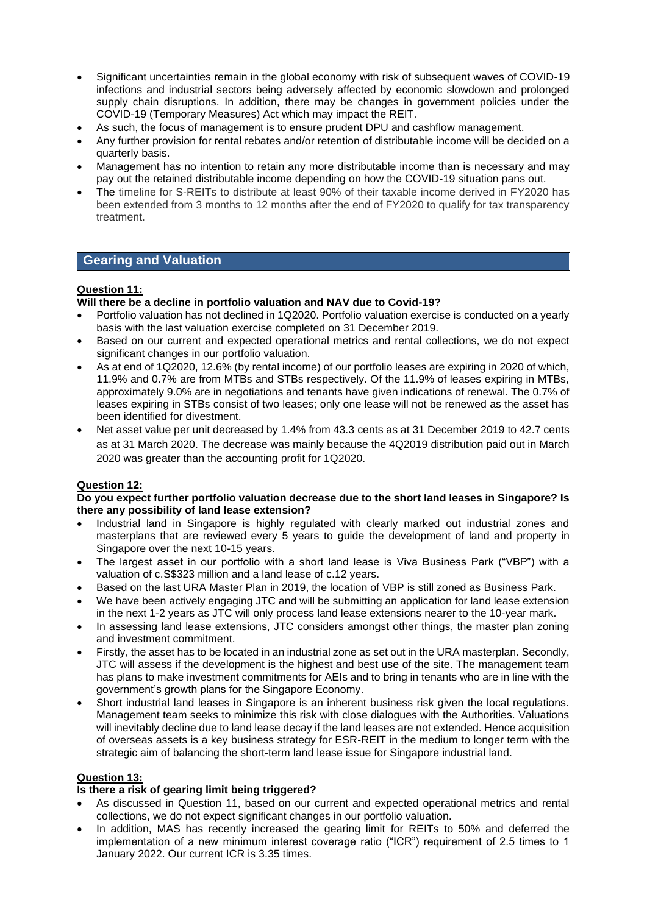- Significant uncertainties remain in the global economy with risk of subsequent waves of COVID-19 infections and industrial sectors being adversely affected by economic slowdown and prolonged supply chain disruptions. In addition, there may be changes in government policies under the COVID-19 (Temporary Measures) Act which may impact the REIT.
- As such, the focus of management is to ensure prudent DPU and cashflow management.
- Any further provision for rental rebates and/or retention of distributable income will be decided on a quarterly basis.
- Management has no intention to retain any more distributable income than is necessary and may pay out the retained distributable income depending on how the COVID-19 situation pans out.
- The timeline for S-REITs to distribute at least 90% of their taxable income derived in FY2020 has been extended from 3 months to 12 months after the end of FY2020 to qualify for tax transparency treatment.

# **Gearing and Valuation**

## **Question 11:**

## **Will there be a decline in portfolio valuation and NAV due to Covid-19?**

- Portfolio valuation has not declined in 1Q2020. Portfolio valuation exercise is conducted on a yearly basis with the last valuation exercise completed on 31 December 2019.
- Based on our current and expected operational metrics and rental collections, we do not expect significant changes in our portfolio valuation.
- As at end of 1Q2020, 12.6% (by rental income) of our portfolio leases are expiring in 2020 of which, 11.9% and 0.7% are from MTBs and STBs respectively. Of the 11.9% of leases expiring in MTBs, approximately 9.0% are in negotiations and tenants have given indications of renewal. The 0.7% of leases expiring in STBs consist of two leases; only one lease will not be renewed as the asset has been identified for divestment.
- Net asset value per unit decreased by 1.4% from 43.3 cents as at 31 December 2019 to 42.7 cents as at 31 March 2020. The decrease was mainly because the 4Q2019 distribution paid out in March 2020 was greater than the accounting profit for 1Q2020.

# **Question 12:**

### **Do you expect further portfolio valuation decrease due to the short land leases in Singapore? Is there any possibility of land lease extension?**

- Industrial land in Singapore is highly regulated with clearly marked out industrial zones and masterplans that are reviewed every 5 years to guide the development of land and property in Singapore over the next 10-15 years.
- The largest asset in our portfolio with a short land lease is Viva Business Park ("VBP") with a valuation of c.S\$323 million and a land lease of c.12 years.
- Based on the last URA Master Plan in 2019, the location of VBP is still zoned as Business Park.
- We have been actively engaging JTC and will be submitting an application for land lease extension in the next 1-2 years as JTC will only process land lease extensions nearer to the 10-year mark.
- In assessing land lease extensions, JTC considers amongst other things, the master plan zoning and investment commitment.
- Firstly, the asset has to be located in an industrial zone as set out in the URA masterplan. Secondly, JTC will assess if the development is the highest and best use of the site. The management team has plans to make investment commitments for AEIs and to bring in tenants who are in line with the government's growth plans for the Singapore Economy.
- Short industrial land leases in Singapore is an inherent business risk given the local regulations. Management team seeks to minimize this risk with close dialogues with the Authorities. Valuations will inevitably decline due to land lease decay if the land leases are not extended. Hence acquisition of overseas assets is a key business strategy for ESR-REIT in the medium to longer term with the strategic aim of balancing the short-term land lease issue for Singapore industrial land.

### **Question 13:**

### **Is there a risk of gearing limit being triggered?**

- As discussed in Question 11, based on our current and expected operational metrics and rental collections, we do not expect significant changes in our portfolio valuation.
- In addition, MAS has recently increased the gearing limit for REITs to 50% and deferred the implementation of a new minimum interest coverage ratio ("ICR") requirement of 2.5 times to 1 January 2022. Our current ICR is 3.35 times.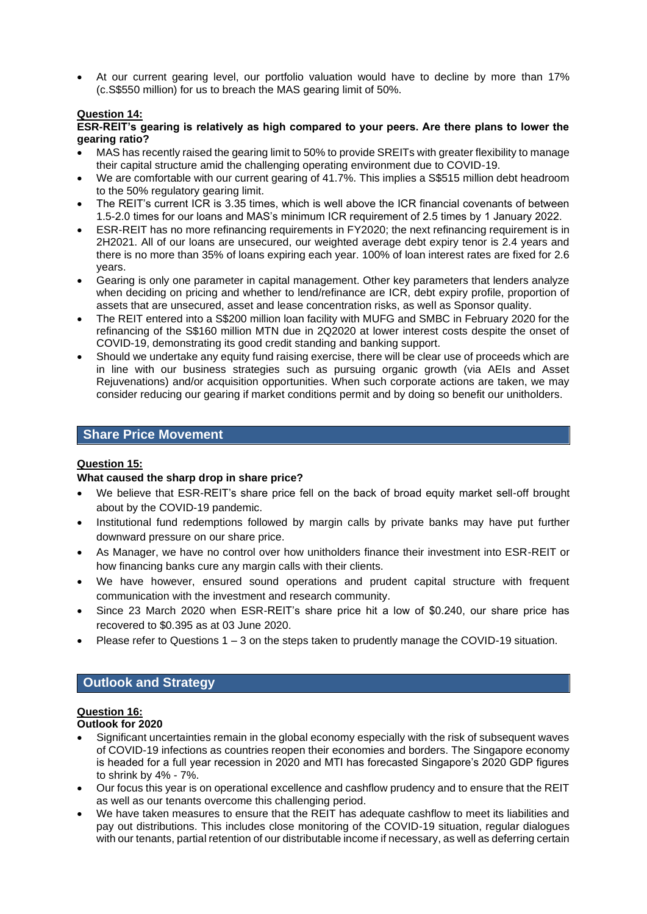• At our current gearing level, our portfolio valuation would have to decline by more than 17% (c.S\$550 million) for us to breach the MAS gearing limit of 50%.

### **Question 14:**

#### **ESR-REIT's gearing is relatively as high compared to your peers. Are there plans to lower the gearing ratio?**

- MAS has recently raised the gearing limit to 50% to provide SREITs with greater flexibility to manage their capital structure amid the challenging operating environment due to COVID-19.
- We are comfortable with our current gearing of 41.7%. This implies a S\$515 million debt headroom to the 50% regulatory gearing limit.
- The REIT's current ICR is 3.35 times, which is well above the ICR financial covenants of between 1.5-2.0 times for our loans and MAS's minimum ICR requirement of 2.5 times by 1 January 2022.
- ESR-REIT has no more refinancing requirements in FY2020; the next refinancing requirement is in 2H2021. All of our loans are unsecured, our weighted average debt expiry tenor is 2.4 years and there is no more than 35% of loans expiring each year. 100% of loan interest rates are fixed for 2.6 years.
- Gearing is only one parameter in capital management. Other key parameters that lenders analyze when deciding on pricing and whether to lend/refinance are ICR, debt expiry profile, proportion of assets that are unsecured, asset and lease concentration risks, as well as Sponsor quality.
- The REIT entered into a S\$200 million loan facility with MUFG and SMBC in February 2020 for the refinancing of the S\$160 million MTN due in 2Q2020 at lower interest costs despite the onset of COVID-19, demonstrating its good credit standing and banking support.
- Should we undertake any equity fund raising exercise, there will be clear use of proceeds which are in line with our business strategies such as pursuing organic growth (via AEIs and Asset Rejuvenations) and/or acquisition opportunities. When such corporate actions are taken, we may consider reducing our gearing if market conditions permit and by doing so benefit our unitholders.

# **Share Price Movement**

### **Question 15:**

### **What caused the sharp drop in share price?**

- We believe that ESR-REIT's share price fell on the back of broad equity market sell-off brought about by the COVID-19 pandemic.
- Institutional fund redemptions followed by margin calls by private banks may have put further downward pressure on our share price.
- As Manager, we have no control over how unitholders finance their investment into ESR-REIT or how financing banks cure any margin calls with their clients.
- We have however, ensured sound operations and prudent capital structure with frequent communication with the investment and research community.
- Since 23 March 2020 when ESR-REIT's share price hit a low of \$0.240, our share price has recovered to \$0.395 as at 03 June 2020.
- Please refer to Questions 1 3 on the steps taken to prudently manage the COVID-19 situation.

# **Outlook and Strategy**

## **Question 16:**

#### **Outlook for 2020**

- Significant uncertainties remain in the global economy especially with the risk of subsequent waves of COVID-19 infections as countries reopen their economies and borders. The Singapore economy is headed for a full year recession in 2020 and MTI has forecasted Singapore's 2020 GDP figures to shrink by 4% - 7%.
- Our focus this year is on operational excellence and cashflow prudency and to ensure that the REIT as well as our tenants overcome this challenging period.
- We have taken measures to ensure that the REIT has adequate cashflow to meet its liabilities and pay out distributions. This includes close monitoring of the COVID-19 situation, regular dialogues with our tenants, partial retention of our distributable income if necessary, as well as deferring certain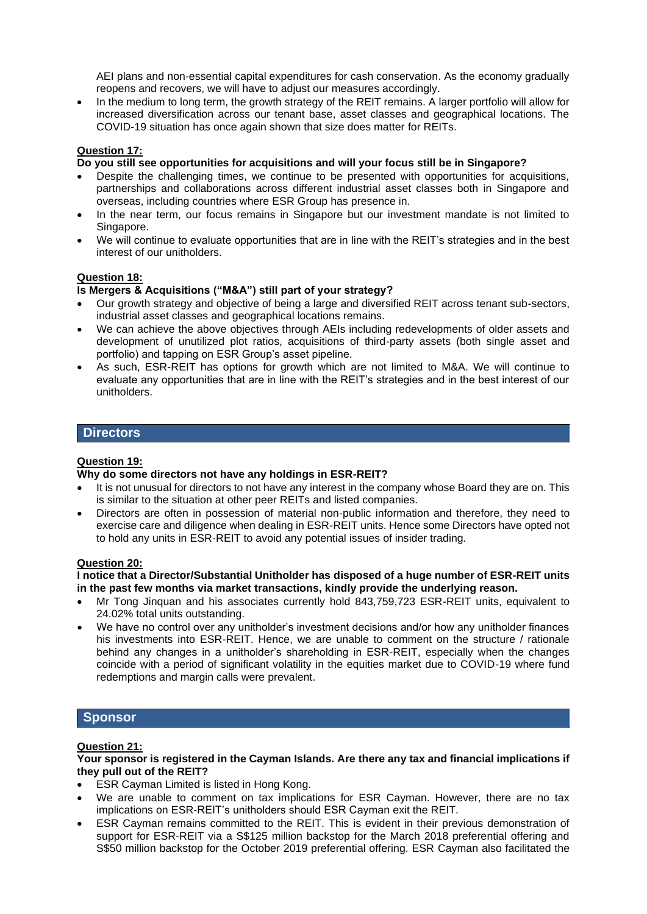AEI plans and non-essential capital expenditures for cash conservation. As the economy gradually reopens and recovers, we will have to adjust our measures accordingly.

• In the medium to long term, the growth strategy of the REIT remains. A larger portfolio will allow for increased diversification across our tenant base, asset classes and geographical locations. The COVID-19 situation has once again shown that size does matter for REITs.

### **Question 17:**

#### **Do you still see opportunities for acquisitions and will your focus still be in Singapore?**

- Despite the challenging times, we continue to be presented with opportunities for acquisitions, partnerships and collaborations across different industrial asset classes both in Singapore and overseas, including countries where ESR Group has presence in.
- In the near term, our focus remains in Singapore but our investment mandate is not limited to Singapore.
- We will continue to evaluate opportunities that are in line with the REIT's strategies and in the best interest of our unitholders.

### **Question 18:**

#### **Is Mergers & Acquisitions ("M&A") still part of your strategy?**

- Our growth strategy and objective of being a large and diversified REIT across tenant sub-sectors, industrial asset classes and geographical locations remains.
- We can achieve the above objectives through AEIs including redevelopments of older assets and development of unutilized plot ratios, acquisitions of third-party assets (both single asset and portfolio) and tapping on ESR Group's asset pipeline.
- As such, ESR-REIT has options for growth which are not limited to M&A. We will continue to evaluate any opportunities that are in line with the REIT's strategies and in the best interest of our unitholders.

## **Directors**

#### **Question 19:**

#### **Why do some directors not have any holdings in ESR-REIT?**

- It is not unusual for directors to not have any interest in the company whose Board they are on. This is similar to the situation at other peer REITs and listed companies.
- Directors are often in possession of material non-public information and therefore, they need to exercise care and diligence when dealing in ESR-REIT units. Hence some Directors have opted not to hold any units in ESR-REIT to avoid any potential issues of insider trading.

#### **Question 20:**

#### **I notice that a Director/Substantial Unitholder has disposed of a huge number of ESR-REIT units in the past few months via market transactions, kindly provide the underlying reason.**

- Mr Tong Jinquan and his associates currently hold 843,759,723 ESR-REIT units, equivalent to 24.02% total units outstanding.
- We have no control over any unitholder's investment decisions and/or how any unitholder finances his investments into ESR-REIT. Hence, we are unable to comment on the structure / rationale behind any changes in a unitholder's shareholding in ESR-REIT, especially when the changes coincide with a period of significant volatility in the equities market due to COVID-19 where fund redemptions and margin calls were prevalent.

# **Sponsor**

### **Question 21:**

#### **Your sponsor is registered in the Cayman Islands. Are there any tax and financial implications if they pull out of the REIT?**

- ESR Cayman Limited is listed in Hong Kong.
- We are unable to comment on tax implications for ESR Cayman. However, there are no tax implications on ESR-REIT's unitholders should ESR Cayman exit the REIT.
- ESR Cayman remains committed to the REIT. This is evident in their previous demonstration of support for ESR-REIT via a S\$125 million backstop for the March 2018 preferential offering and S\$50 million backstop for the October 2019 preferential offering. ESR Cayman also facilitated the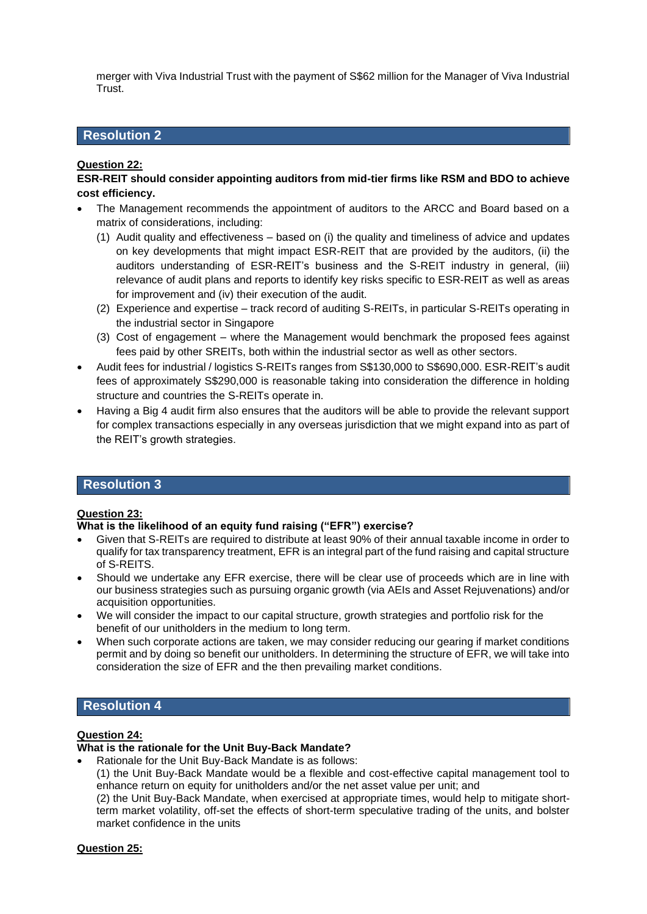merger with Viva Industrial Trust with the payment of S\$62 million for the Manager of Viva Industrial Trust.

# **Resolution 2**

## **Question 22:**

**ESR-REIT should consider appointing auditors from mid-tier firms like RSM and BDO to achieve cost efficiency.**

- The Management recommends the appointment of auditors to the ARCC and Board based on a matrix of considerations, including:
	- (1) Audit quality and effectiveness based on (i) the quality and timeliness of advice and updates on key developments that might impact ESR-REIT that are provided by the auditors, (ii) the auditors understanding of ESR-REIT's business and the S-REIT industry in general, (iii) relevance of audit plans and reports to identify key risks specific to ESR-REIT as well as areas for improvement and (iv) their execution of the audit.
	- (2) Experience and expertise track record of auditing S-REITs, in particular S-REITs operating in the industrial sector in Singapore
	- (3) Cost of engagement where the Management would benchmark the proposed fees against fees paid by other SREITs, both within the industrial sector as well as other sectors.
- Audit fees for industrial / logistics S-REITs ranges from S\$130,000 to S\$690,000. ESR-REIT's audit fees of approximately S\$290,000 is reasonable taking into consideration the difference in holding structure and countries the S-REITs operate in.
- Having a Big 4 audit firm also ensures that the auditors will be able to provide the relevant support for complex transactions especially in any overseas jurisdiction that we might expand into as part of the REIT's growth strategies.

### **Resolution 3**

### **Question 23:**

### **What is the likelihood of an equity fund raising ("EFR") exercise?**

- Given that S-REITs are required to distribute at least 90% of their annual taxable income in order to qualify for tax transparency treatment, EFR is an integral part of the fund raising and capital structure of S-REITS.
- Should we undertake any EFR exercise, there will be clear use of proceeds which are in line with our business strategies such as pursuing organic growth (via AEIs and Asset Rejuvenations) and/or acquisition opportunities.
- We will consider the impact to our capital structure, growth strategies and portfolio risk for the benefit of our unitholders in the medium to long term.
- When such corporate actions are taken, we may consider reducing our gearing if market conditions permit and by doing so benefit our unitholders. In determining the structure of EFR, we will take into consideration the size of EFR and the then prevailing market conditions.

# **Resolution 4**

## **Question 24:**

#### **What is the rationale for the Unit Buy-Back Mandate?**

• Rationale for the Unit Buy-Back Mandate is as follows:

(1) the Unit Buy-Back Mandate would be a flexible and cost-effective capital management tool to enhance return on equity for unitholders and/or the net asset value per unit; and

(2) the Unit Buy-Back Mandate, when exercised at appropriate times, would help to mitigate shortterm market volatility, off-set the effects of short-term speculative trading of the units, and bolster market confidence in the units

### **Question 25:**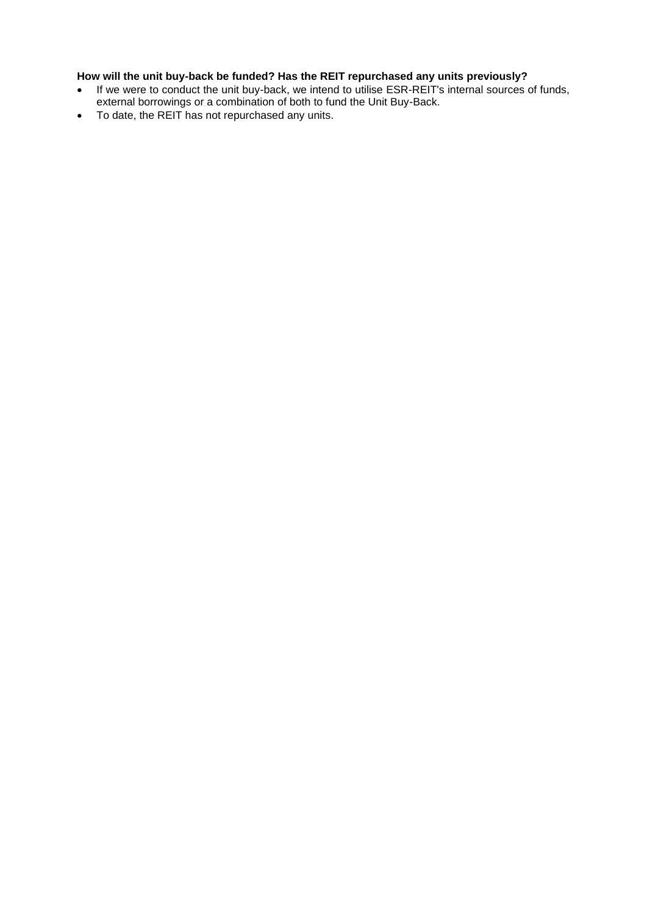# **How will the unit buy-back be funded? Has the REIT repurchased any units previously?**

- If we were to conduct the unit buy-back, we intend to utilise ESR-REIT's internal sources of funds, external borrowings or a combination of both to fund the Unit Buy-Back.
- To date, the REIT has not repurchased any units.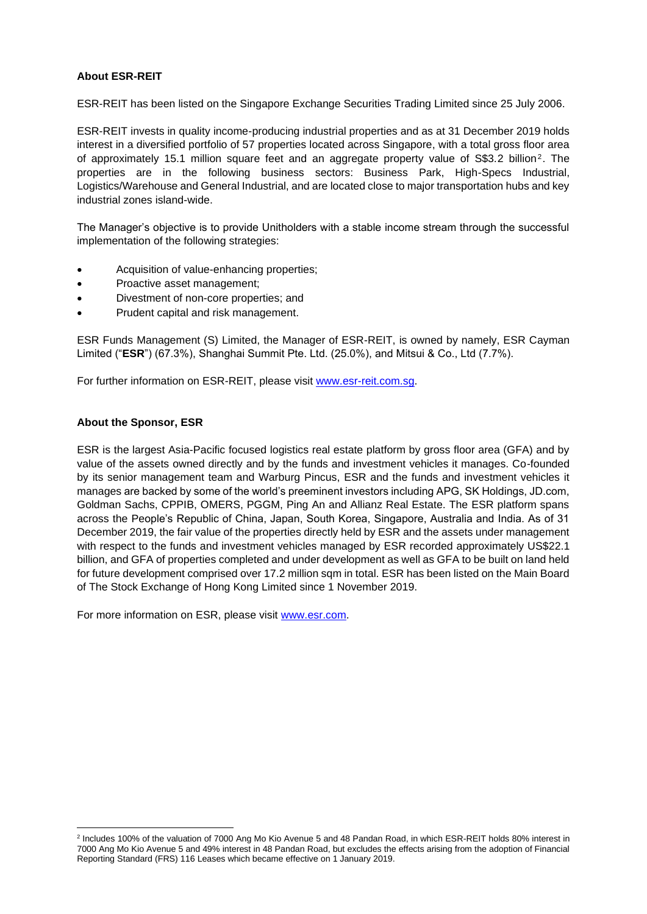### **About ESR-REIT**

ESR-REIT has been listed on the Singapore Exchange Securities Trading Limited since 25 July 2006.

ESR-REIT invests in quality income-producing industrial properties and as at 31 December 2019 holds interest in a diversified portfolio of 57 properties located across Singapore, with a total gross floor area of approximately 15.1 million square feet and an aggregate property value of S\$3.2 billion<sup>2</sup>. The properties are in the following business sectors: Business Park, High-Specs Industrial, Logistics/Warehouse and General Industrial, and are located close to major transportation hubs and key industrial zones island-wide.

The Manager's objective is to provide Unitholders with a stable income stream through the successful implementation of the following strategies:

- Acquisition of value-enhancing properties;
- Proactive asset management;
- Divestment of non-core properties; and
- Prudent capital and risk management.

ESR Funds Management (S) Limited, the Manager of ESR-REIT, is owned by namely, ESR Cayman Limited ("**ESR**") (67.3%), Shanghai Summit Pte. Ltd. (25.0%), and Mitsui & Co., Ltd (7.7%).

For further information on ESR-REIT, please visit [www.esr-reit.com.sg.](http://www.esr-reit.com.sg/)

### **About the Sponsor, ESR**

ESR is the largest Asia-Pacific focused logistics real estate platform by gross floor area (GFA) and by value of the assets owned directly and by the funds and investment vehicles it manages. Co-founded by its senior management team and Warburg Pincus, ESR and the funds and investment vehicles it manages are backed by some of the world's preeminent investors including APG, SK Holdings, JD.com, Goldman Sachs, CPPIB, OMERS, PGGM, Ping An and Allianz Real Estate. The ESR platform spans across the People's Republic of China, Japan, South Korea, Singapore, Australia and India. As of 31 December 2019, the fair value of the properties directly held by ESR and the assets under management with respect to the funds and investment vehicles managed by ESR recorded approximately US\$22.1 billion, and GFA of properties completed and under development as well as GFA to be built on land held for future development comprised over 17.2 million sqm in total. ESR has been listed on the Main Board of The Stock Exchange of Hong Kong Limited since 1 November 2019.

For more information on ESR, please visit [www.esr.com.](http://www.esr.com/)

<sup>2</sup> Includes 100% of the valuation of 7000 Ang Mo Kio Avenue 5 and 48 Pandan Road, in which ESR-REIT holds 80% interest in 7000 Ang Mo Kio Avenue 5 and 49% interest in 48 Pandan Road, but excludes the effects arising from the adoption of Financial Reporting Standard (FRS) 116 Leases which became effective on 1 January 2019.